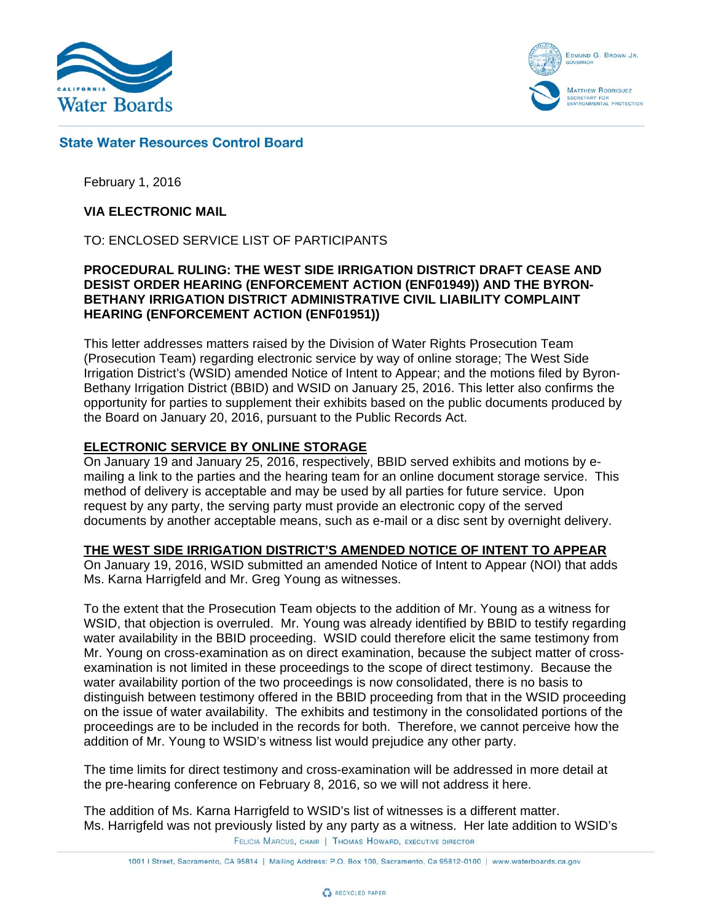



# **State Water Resources Control Board**

February 1, 2016

## **VIA ELECTRONIC MAIL**

TO: ENCLOSED SERVICE LIST OF PARTICIPANTS

#### **PROCEDURAL RULING: THE WEST SIDE IRRIGATION DISTRICT DRAFT CEASE AND DESIST ORDER HEARING (ENFORCEMENT ACTION (ENF01949)) AND THE BYRON-BETHANY IRRIGATION DISTRICT ADMINISTRATIVE CIVIL LIABILITY COMPLAINT HEARING (ENFORCEMENT ACTION (ENF01951))**

This letter addresses matters raised by the Division of Water Rights Prosecution Team (Prosecution Team) regarding electronic service by way of online storage; The West Side Irrigation District's (WSID) amended Notice of Intent to Appear; and the motions filed by Byron-Bethany Irrigation District (BBID) and WSID on January 25, 2016. This letter also confirms the opportunity for parties to supplement their exhibits based on the public documents produced by the Board on January 20, 2016, pursuant to the Public Records Act.

## **ELECTRONIC SERVICE BY ONLINE STORAGE**

On January 19 and January 25, 2016, respectively, BBID served exhibits and motions by emailing a link to the parties and the hearing team for an online document storage service. This method of delivery is acceptable and may be used by all parties for future service. Upon request by any party, the serving party must provide an electronic copy of the served documents by another acceptable means, such as e-mail or a disc sent by overnight delivery.

#### **THE WEST SIDE IRRIGATION DISTRICT'S AMENDED NOTICE OF INTENT TO APPEAR**

On January 19, 2016, WSID submitted an amended Notice of Intent to Appear (NOI) that adds Ms. Karna Harrigfeld and Mr. Greg Young as witnesses.

To the extent that the Prosecution Team objects to the addition of Mr. Young as a witness for WSID, that objection is overruled. Mr. Young was already identified by BBID to testify regarding water availability in the BBID proceeding. WSID could therefore elicit the same testimony from Mr. Young on cross-examination as on direct examination, because the subject matter of crossexamination is not limited in these proceedings to the scope of direct testimony. Because the water availability portion of the two proceedings is now consolidated, there is no basis to distinguish between testimony offered in the BBID proceeding from that in the WSID proceeding on the issue of water availability. The exhibits and testimony in the consolidated portions of the proceedings are to be included in the records for both. Therefore, we cannot perceive how the addition of Mr. Young to WSID's witness list would prejudice any other party.

The time limits for direct testimony and cross-examination will be addressed in more detail at the pre-hearing conference on February 8, 2016, so we will not address it here.

The addition of Ms. Karna Harrigfeld to WSID's list of witnesses is a different matter. Ms. Harrigfeld was not previously listed by any party as a witness. Her late addition to WSID's FELICIA MARCUS, CHAIR | THOMAS HOWARD, EXECUTIVE DIRECTOR

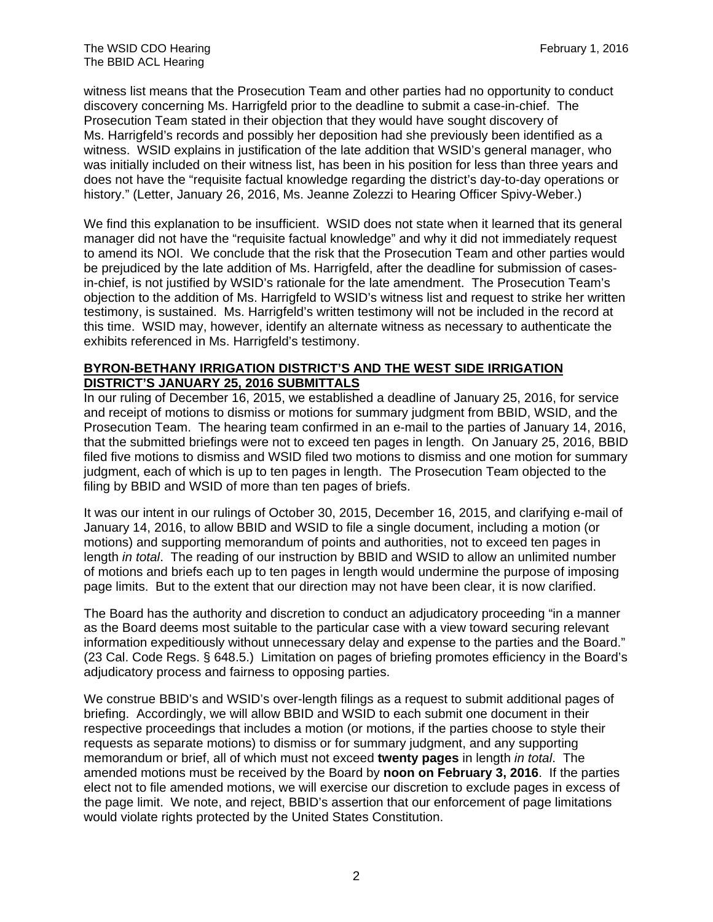witness list means that the Prosecution Team and other parties had no opportunity to conduct discovery concerning Ms. Harrigfeld prior to the deadline to submit a case-in-chief. The Prosecution Team stated in their objection that they would have sought discovery of Ms. Harrigfeld's records and possibly her deposition had she previously been identified as a witness. WSID explains in justification of the late addition that WSID's general manager, who was initially included on their witness list, has been in his position for less than three years and does not have the "requisite factual knowledge regarding the district's day-to-day operations or history." (Letter, January 26, 2016, Ms. Jeanne Zolezzi to Hearing Officer Spivy-Weber.)

We find this explanation to be insufficient. WSID does not state when it learned that its general manager did not have the "requisite factual knowledge" and why it did not immediately request to amend its NOI. We conclude that the risk that the Prosecution Team and other parties would be prejudiced by the late addition of Ms. Harrigfeld, after the deadline for submission of casesin-chief, is not justified by WSID's rationale for the late amendment. The Prosecution Team's objection to the addition of Ms. Harrigfeld to WSID's witness list and request to strike her written testimony, is sustained. Ms. Harrigfeld's written testimony will not be included in the record at this time. WSID may, however, identify an alternate witness as necessary to authenticate the exhibits referenced in Ms. Harrigfeld's testimony.

## **BYRON-BETHANY IRRIGATION DISTRICT'S AND THE WEST SIDE IRRIGATION DISTRICT'S JANUARY 25, 2016 SUBMITTALS**

In our ruling of December 16, 2015, we established a deadline of January 25, 2016, for service and receipt of motions to dismiss or motions for summary judgment from BBID, WSID, and the Prosecution Team. The hearing team confirmed in an e-mail to the parties of January 14, 2016, that the submitted briefings were not to exceed ten pages in length. On January 25, 2016, BBID filed five motions to dismiss and WSID filed two motions to dismiss and one motion for summary judgment, each of which is up to ten pages in length. The Prosecution Team objected to the filing by BBID and WSID of more than ten pages of briefs.

It was our intent in our rulings of October 30, 2015, December 16, 2015, and clarifying e-mail of January 14, 2016, to allow BBID and WSID to file a single document, including a motion (or motions) and supporting memorandum of points and authorities, not to exceed ten pages in length *in total*. The reading of our instruction by BBID and WSID to allow an unlimited number of motions and briefs each up to ten pages in length would undermine the purpose of imposing page limits. But to the extent that our direction may not have been clear, it is now clarified.

The Board has the authority and discretion to conduct an adjudicatory proceeding "in a manner as the Board deems most suitable to the particular case with a view toward securing relevant information expeditiously without unnecessary delay and expense to the parties and the Board." (23 Cal. Code Regs. § 648.5.) Limitation on pages of briefing promotes efficiency in the Board's adjudicatory process and fairness to opposing parties.

We construe BBID's and WSID's over-length filings as a request to submit additional pages of briefing. Accordingly, we will allow BBID and WSID to each submit one document in their respective proceedings that includes a motion (or motions, if the parties choose to style their requests as separate motions) to dismiss or for summary judgment, and any supporting memorandum or brief, all of which must not exceed **twenty pages** in length *in total*. The amended motions must be received by the Board by **noon on February 3, 2016**. If the parties elect not to file amended motions, we will exercise our discretion to exclude pages in excess of the page limit. We note, and reject, BBID's assertion that our enforcement of page limitations would violate rights protected by the United States Constitution.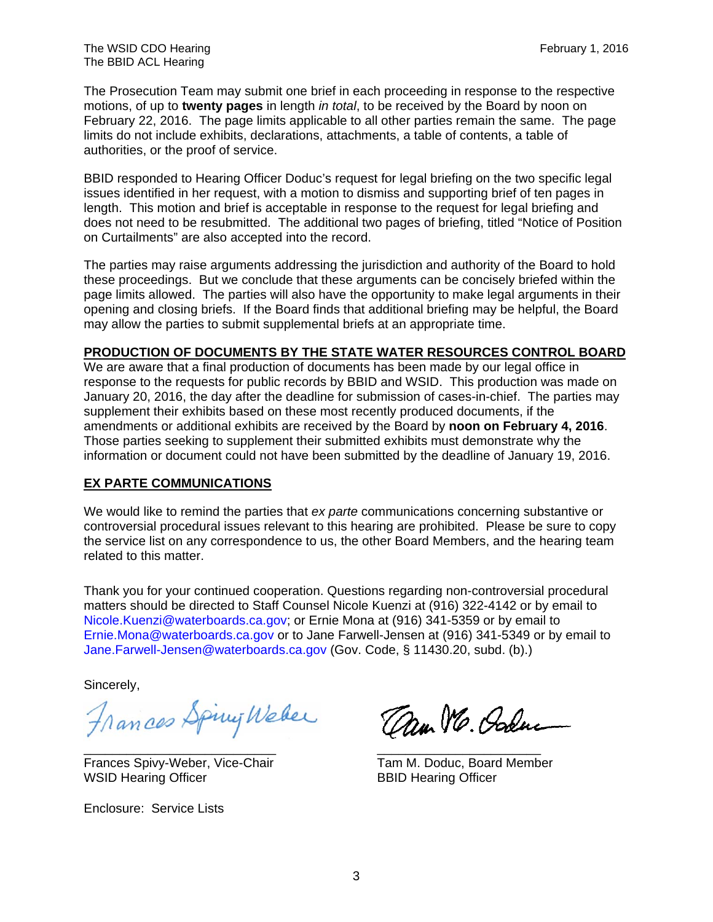The Prosecution Team may submit one brief in each proceeding in response to the respective motions, of up to **twenty pages** in length *in total*, to be received by the Board by noon on February 22, 2016. The page limits applicable to all other parties remain the same. The page limits do not include exhibits, declarations, attachments, a table of contents, a table of authorities, or the proof of service.

BBID responded to Hearing Officer Doduc's request for legal briefing on the two specific legal issues identified in her request, with a motion to dismiss and supporting brief of ten pages in length. This motion and brief is acceptable in response to the request for legal briefing and does not need to be resubmitted. The additional two pages of briefing, titled "Notice of Position on Curtailments" are also accepted into the record.

The parties may raise arguments addressing the jurisdiction and authority of the Board to hold these proceedings. But we conclude that these arguments can be concisely briefed within the page limits allowed. The parties will also have the opportunity to make legal arguments in their opening and closing briefs. If the Board finds that additional briefing may be helpful, the Board may allow the parties to submit supplemental briefs at an appropriate time.

## **PRODUCTION OF DOCUMENTS BY THE STATE WATER RESOURCES CONTROL BOARD**

We are aware that a final production of documents has been made by our legal office in response to the requests for public records by BBID and WSID. This production was made on January 20, 2016, the day after the deadline for submission of cases-in-chief. The parties may supplement their exhibits based on these most recently produced documents, if the amendments or additional exhibits are received by the Board by **noon on February 4, 2016**. Those parties seeking to supplement their submitted exhibits must demonstrate why the information or document could not have been submitted by the deadline of January 19, 2016.

#### **EX PARTE COMMUNICATIONS**

We would like to remind the parties that *ex parte* communications concerning substantive or controversial procedural issues relevant to this hearing are prohibited. Please be sure to copy the service list on any correspondence to us, the other Board Members, and the hearing team related to this matter.

Thank you for your continued cooperation. Questions regarding non-controversial procedural matters should be directed to Staff Counsel Nicole Kuenzi at (916) 322-4142 or by email to Nicole.Kuenzi@waterboards.ca.gov; or Ernie Mona at (916) 341-5359 or by email to Ernie.Mona@waterboards.ca.gov or to Jane Farwell-Jensen at (916) 341-5349 or by email to Jane.Farwell-Jensen@waterboards.ca.gov (Gov. Code, § 11430.20, subd. (b).)

Sincerely,

Frances Spiny Weber Can We. Order

Frances Spivy-Weber, Vice-Chair WSID Hearing Officer BBID Hearing Officer

Enclosure: Service Lists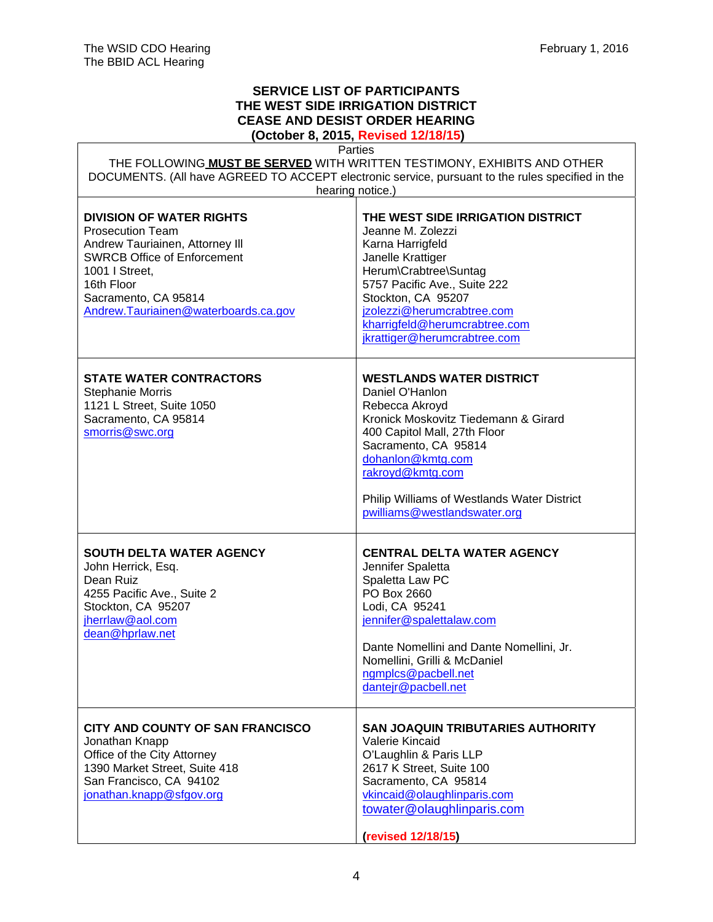$\Gamma$ 

 $\overline{\phantom{a}}$ 

# **SERVICE LIST OF PARTICIPANTS THE WEST SIDE IRRIGATION DISTRICT CEASE AND DESIST ORDER HEARING**

 **(October 8, 2015, Revised 12/18/15)**

|                                                                                                                                                                                                                                     | Parties                                                                                                                                                                                                                                                                                      |  |
|-------------------------------------------------------------------------------------------------------------------------------------------------------------------------------------------------------------------------------------|----------------------------------------------------------------------------------------------------------------------------------------------------------------------------------------------------------------------------------------------------------------------------------------------|--|
| THE FOLLOWING MUST BE SERVED WITH WRITTEN TESTIMONY, EXHIBITS AND OTHER<br>DOCUMENTS. (All have AGREED TO ACCEPT electronic service, pursuant to the rules specified in the                                                         |                                                                                                                                                                                                                                                                                              |  |
| hearing notice.)                                                                                                                                                                                                                    |                                                                                                                                                                                                                                                                                              |  |
| <b>DIVISION OF WATER RIGHTS</b><br><b>Prosecution Team</b><br>Andrew Tauriainen, Attorney III<br><b>SWRCB Office of Enforcement</b><br>1001   Street,<br>16th Floor<br>Sacramento, CA 95814<br>Andrew.Tauriainen@waterboards.ca.gov | THE WEST SIDE IRRIGATION DISTRICT<br>Jeanne M. Zolezzi<br>Karna Harrigfeld<br>Janelle Krattiger<br>Herum\Crabtree\Suntag<br>5757 Pacific Ave., Suite 222<br>Stockton, CA 95207<br>jzolezzi@herumcrabtree.com<br>kharrigfeld@herumcrabtree.com<br>jkrattiger@herumcrabtree.com                |  |
| <b>STATE WATER CONTRACTORS</b><br><b>Stephanie Morris</b><br>1121 L Street, Suite 1050<br>Sacramento, CA 95814<br>smorris@swc.org                                                                                                   | <b>WESTLANDS WATER DISTRICT</b><br>Daniel O'Hanlon<br>Rebecca Akroyd<br>Kronick Moskovitz Tiedemann & Girard<br>400 Capitol Mall, 27th Floor<br>Sacramento, CA 95814<br>dohanlon@kmtg.com<br>rakroyd@kmtg.com<br>Philip Williams of Westlands Water District<br>pwilliams@westlandswater.org |  |
| <b>SOUTH DELTA WATER AGENCY</b><br>John Herrick, Esq.<br>Dean Ruiz<br>4255 Pacific Ave., Suite 2<br>Stockton, CA 95207<br>jherrlaw@aol.com<br>dean@hprlaw.net                                                                       | <b>CENTRAL DELTA WATER AGENCY</b><br>Jennifer Spaletta<br>Spaletta Law PC<br>PO Box 2660<br>Lodi, CA 95241<br>jennifer@spalettalaw.com<br>Dante Nomellini and Dante Nomellini, Jr.<br>Nomellini, Grilli & McDaniel<br>ngmplcs@pacbell.net<br>dantejr@pacbell.net                             |  |
| CITY AND COUNTY OF SAN FRANCISCO<br>Jonathan Knapp<br>Office of the City Attorney<br>1390 Market Street, Suite 418<br>San Francisco, CA 94102<br>jonathan.knapp@sfgov.org                                                           | <b>SAN JOAQUIN TRIBUTARIES AUTHORITY</b><br>Valerie Kincaid<br>O'Laughlin & Paris LLP<br>2617 K Street, Suite 100<br>Sacramento, CA 95814<br>vkincaid@olaughlinparis.com<br>towater@olaughlinparis.com<br>(revised 12/18/15)                                                                 |  |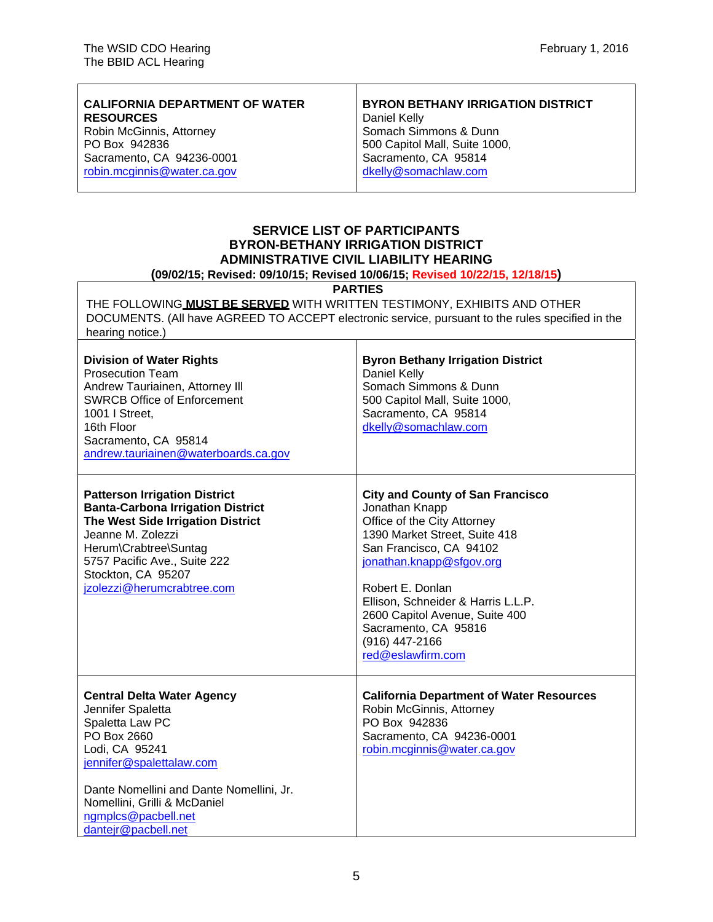$\overline{1}$ 

| <b>CALIFORNIA DEPARTMENT OF WATER</b><br><b>RESOURCES</b> | <b>BYRON BETHANY IRRIGATION DISTRICT</b><br>Daniel Kelly |
|-----------------------------------------------------------|----------------------------------------------------------|
| Robin McGinnis, Attorney                                  | Somach Simmons & Dunn                                    |
| PO Box 942836                                             | 500 Capitol Mall, Suite 1000,                            |
| Sacramento, CA 94236-0001                                 | Sacramento, CA 95814                                     |
| robin.mcginnis@water.ca.gov                               | dkelly@somachlaw.com                                     |
|                                                           |                                                          |

⊤

# **SERVICE LIST OF PARTICIPANTS BYRON-BETHANY IRRIGATION DISTRICT ADMINISTRATIVE CIVIL LIABILITY HEARING**

#### **(09/02/15; Revised: 09/10/15; Revised 10/06/15; Revised 10/22/15, 12/18/15)**

**PARTIES** 

THE FOLLOWING **MUST BE SERVED** WITH WRITTEN TESTIMONY, EXHIBITS AND OTHER DOCUMENTS. (All have AGREED TO ACCEPT electronic service, pursuant to the rules specified in the hearing notice.) ┯

| <b>Division of Water Rights</b><br><b>Prosecution Team</b><br>Andrew Tauriainen, Attorney III<br><b>SWRCB Office of Enforcement</b><br>1001   Street,<br>16th Floor<br>Sacramento, CA 95814<br>andrew.tauriainen@waterboards.ca.gov                              | <b>Byron Bethany Irrigation District</b><br>Daniel Kelly<br>Somach Simmons & Dunn<br>500 Capitol Mall, Suite 1000,<br>Sacramento, CA 95814<br>dkelly@somachlaw.com                                                                                                                                                                          |
|------------------------------------------------------------------------------------------------------------------------------------------------------------------------------------------------------------------------------------------------------------------|---------------------------------------------------------------------------------------------------------------------------------------------------------------------------------------------------------------------------------------------------------------------------------------------------------------------------------------------|
| <b>Patterson Irrigation District</b><br><b>Banta-Carbona Irrigation District</b><br>The West Side Irrigation District<br>Jeanne M. Zolezzi<br>Herum\Crabtree\Suntag<br>5757 Pacific Ave., Suite 222<br>Stockton, CA 95207<br>jzolezzi@herumcrabtree.com          | <b>City and County of San Francisco</b><br>Jonathan Knapp<br>Office of the City Attorney<br>1390 Market Street, Suite 418<br>San Francisco, CA 94102<br>jonathan.knapp@sfgov.org<br>Robert E. Donlan<br>Ellison, Schneider & Harris L.L.P.<br>2600 Capitol Avenue, Suite 400<br>Sacramento, CA 95816<br>(916) 447-2166<br>red@eslawfirm.com |
| <b>Central Delta Water Agency</b><br>Jennifer Spaletta<br>Spaletta Law PC<br>PO Box 2660<br>Lodi, CA 95241<br>jennifer@spalettalaw.com<br>Dante Nomellini and Dante Nomellini, Jr.<br>Nomellini, Grilli & McDaniel<br>ngmplcs@pacbell.net<br>dantejr@pacbell.net | <b>California Department of Water Resources</b><br>Robin McGinnis, Attorney<br>PO Box 942836<br>Sacramento, CA 94236-0001<br>robin.mcginnis@water.ca.gov                                                                                                                                                                                    |